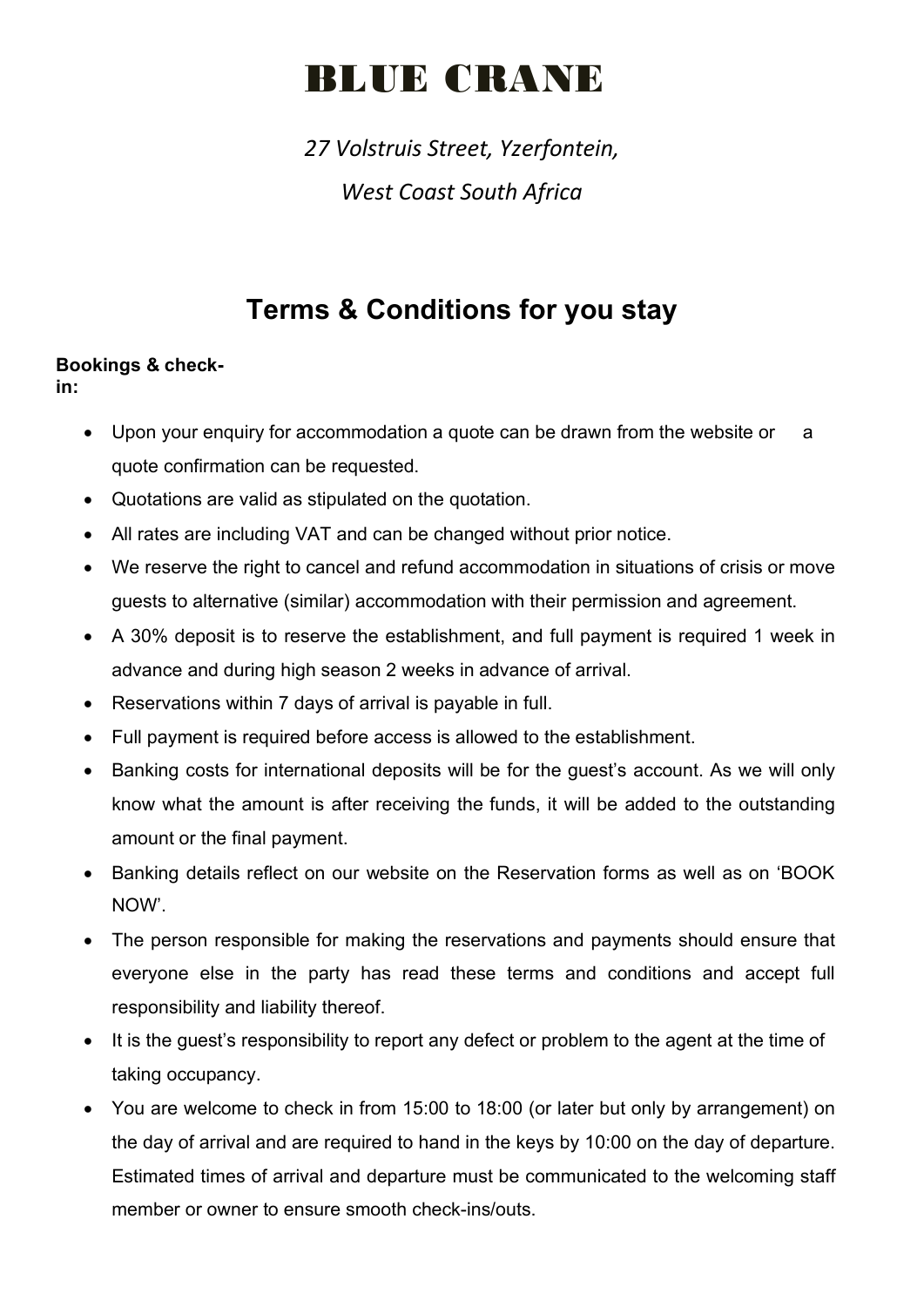# **BLUE CRANE**

*27 Volstruis Street, Yzerfontein, West Coast South Africa*

## **Terms & Conditions for you stay**

### **Bookings & check-**

**in:**

- Upon your enquiry for accommodation a quote can be drawn from the website or a quote confirmation can be requested.
- Quotations are valid as stipulated on the quotation.
- All rates are including VAT and can be changed without prior notice.
- We reserve the right to cancel and refund accommodation in situations of crisis or move guests to alternative (similar) accommodation with their permission and agreement.
- A 30% deposit is to reserve the establishment, and full payment is required 1 week in advance and during high season 2 weeks in advance of arrival.
- Reservations within 7 days of arrival is payable in full.
- Full payment is required before access is allowed to the establishment.
- Banking costs for international deposits will be for the guest's account. As we will only know what the amount is after receiving the funds, it will be added to the outstanding amount or the final payment.
- Banking details reflect on our website on the Reservation forms as well as on 'BOOK NOW'.
- The person responsible for making the reservations and payments should ensure that everyone else in the party has read these terms and conditions and accept full responsibility and liability thereof.
- It is the guest's responsibility to report any defect or problem to the agent at the time of taking occupancy.
- You are welcome to check in from 15:00 to 18:00 (or later but only by arrangement) on the day of arrival and are required to hand in the keys by 10:00 on the day of departure. Estimated times of arrival and departure must be communicated to the welcoming staff member or owner to ensure smooth check-ins/outs.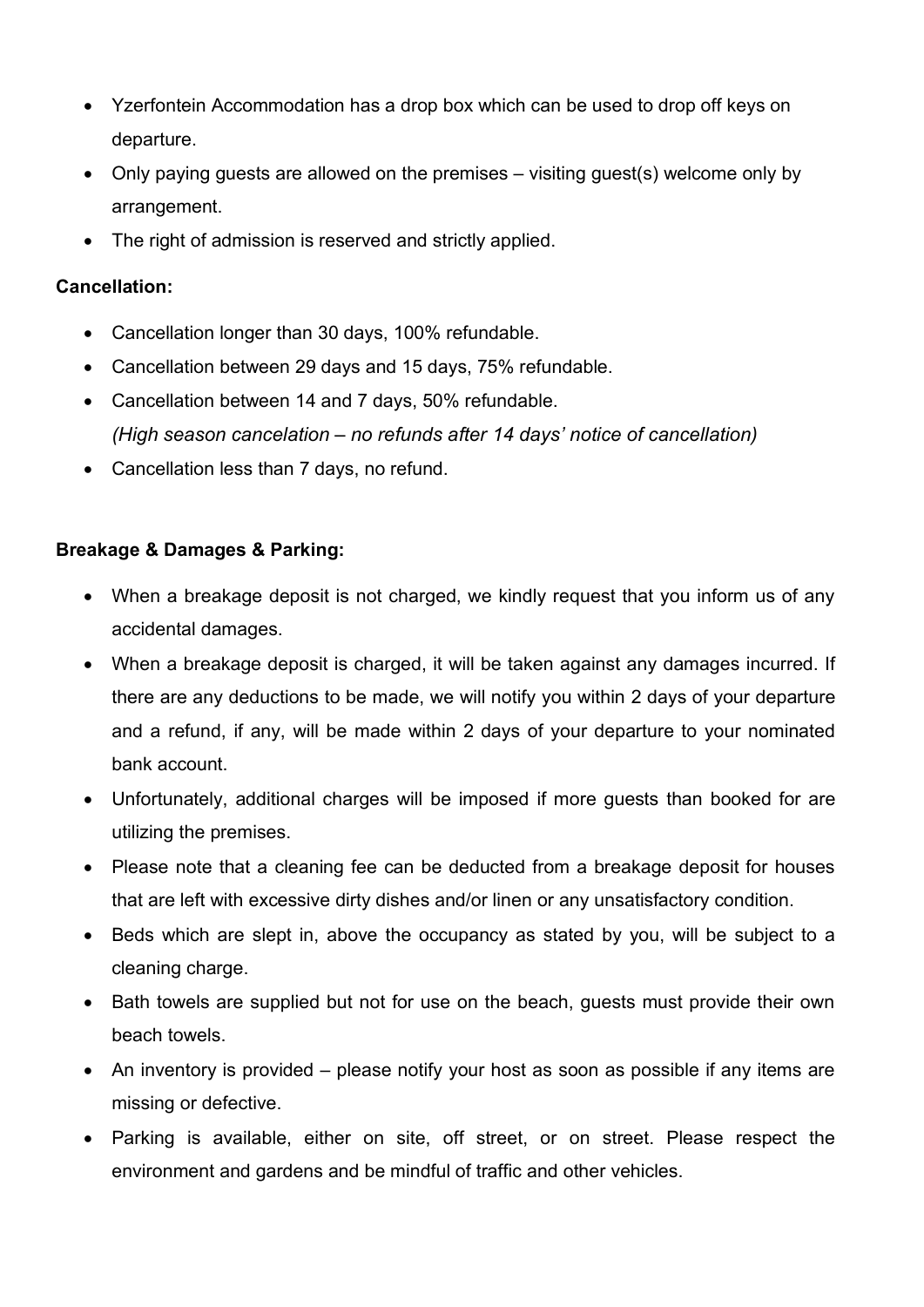- Yzerfontein Accommodation has a drop box which can be used to drop off keys on departure.
- Only paying guests are allowed on the premises visiting guest(s) welcome only by arrangement.
- The right of admission is reserved and strictly applied.

#### **Cancellation:**

- Cancellation longer than 30 days, 100% refundable.
- Cancellation between 29 days and 15 days, 75% refundable.
- Cancellation between 14 and 7 days, 50% refundable. *(High season cancelation – no refunds after 14 days' notice of cancellation)*
- Cancellation less than 7 days, no refund.

#### **Breakage & Damages & Parking:**

- When a breakage deposit is not charged, we kindly request that you inform us of any accidental damages.
- When a breakage deposit is charged, it will be taken against any damages incurred. If there are any deductions to be made, we will notify you within 2 days of your departure and a refund, if any, will be made within 2 days of your departure to your nominated bank account.
- Unfortunately, additional charges will be imposed if more guests than booked for are utilizing the premises.
- Please note that a cleaning fee can be deducted from a breakage deposit for houses that are left with excessive dirty dishes and/or linen or any unsatisfactory condition.
- Beds which are slept in, above the occupancy as stated by you, will be subject to a cleaning charge.
- Bath towels are supplied but not for use on the beach, guests must provide their own beach towels.
- An inventory is provided please notify your host as soon as possible if any items are missing or defective.
- Parking is available, either on site, off street, or on street. Please respect the environment and gardens and be mindful of traffic and other vehicles.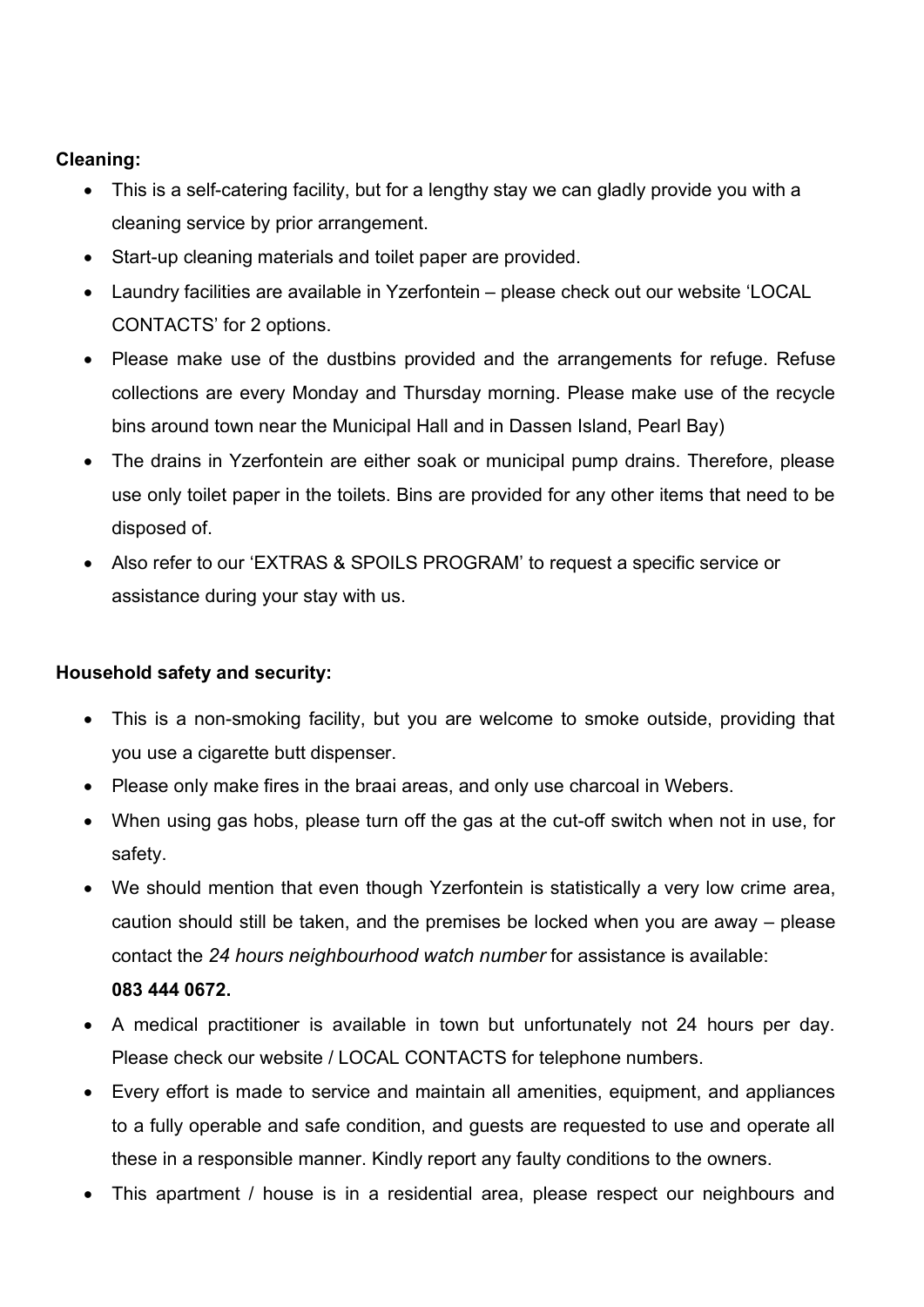#### **Cleaning:**

- This is a self-catering facility, but for a lengthy stay we can gladly provide you with a cleaning service by prior arrangement.
- Start-up cleaning materials and toilet paper are provided.
- Laundry facilities are available in Yzerfontein please check out our website 'LOCAL CONTACTS' for 2 options.
- Please make use of the dustbins provided and the arrangements for refuge. Refuse collections are every Monday and Thursday morning. Please make use of the recycle bins around town near the Municipal Hall and in Dassen Island, Pearl Bay)
- The drains in Yzerfontein are either soak or municipal pump drains. Therefore, please use only toilet paper in the toilets. Bins are provided for any other items that need to be disposed of.
- Also refer to our 'EXTRAS & SPOILS PROGRAM' to request a specific service or assistance during your stay with us.

#### **Household safety and security:**

- This is a non-smoking facility, but you are welcome to smoke outside, providing that you use a cigarette butt dispenser.
- Please only make fires in the braai areas, and only use charcoal in Webers.
- When using gas hobs, please turn off the gas at the cut-off switch when not in use, for safety.
- We should mention that even though Yzerfontein is statistically a very low crime area, caution should still be taken, and the premises be locked when you are away – please contact the *24 hours neighbourhood watch number* for assistance is available: **083 444 0672.**
- A medical practitioner is available in town but unfortunately not 24 hours per day. Please check our website / LOCAL CONTACTS for telephone numbers.
- Every effort is made to service and maintain all amenities, equipment, and appliances to a fully operable and safe condition, and guests are requested to use and operate all these in a responsible manner. Kindly report any faulty conditions to the owners.
- This apartment / house is in a residential area, please respect our neighbours and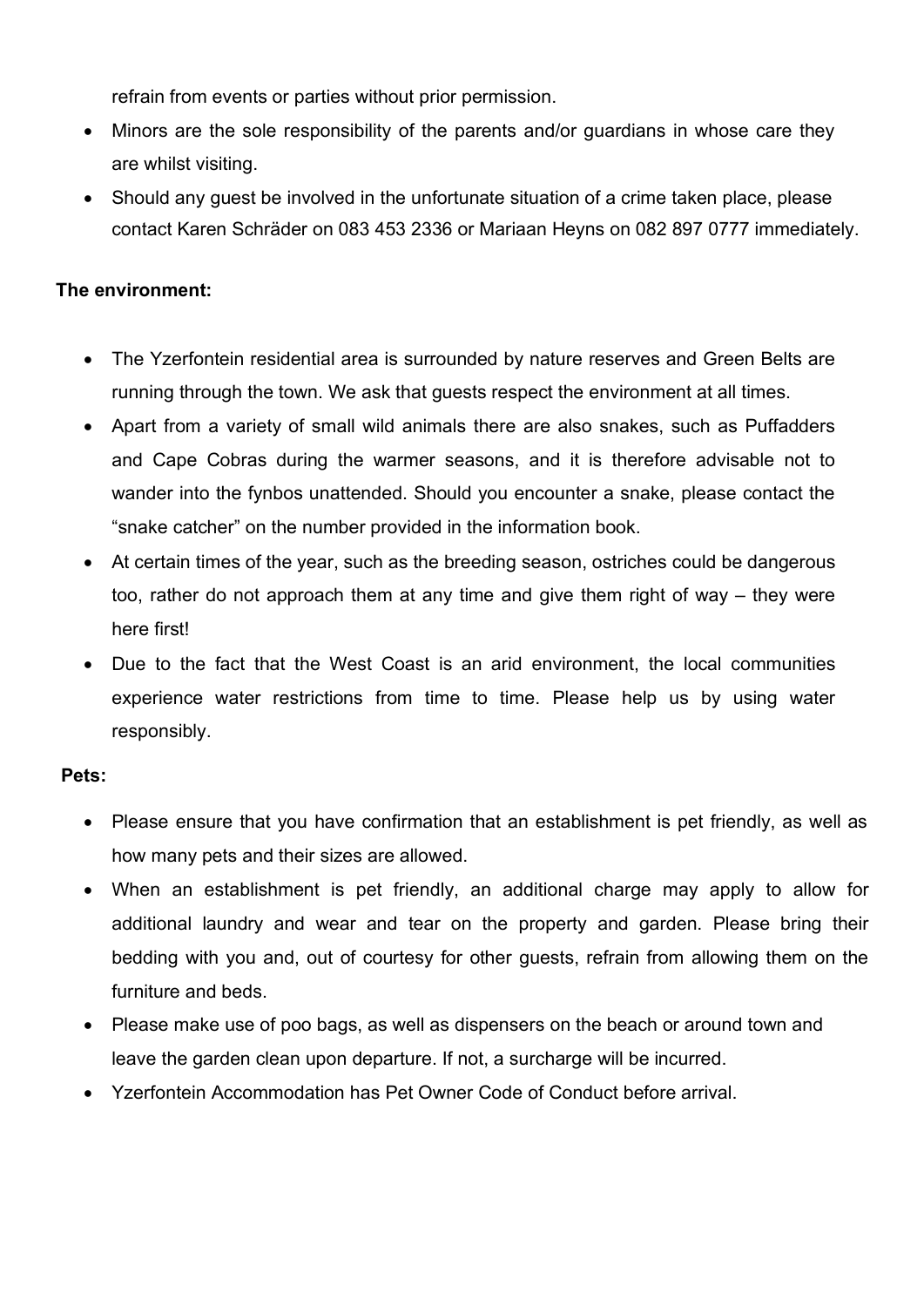refrain from events or parties without prior permission.

- Minors are the sole responsibility of the parents and/or quardians in whose care they are whilst visiting.
- Should any guest be involved in the unfortunate situation of a crime taken place, please contact Karen Schräder on 083 453 2336 or Mariaan Heyns on 082 897 0777 immediately.

#### **The environment:**

- The Yzerfontein residential area is surrounded by nature reserves and Green Belts are running through the town. We ask that guests respect the environment at all times.
- Apart from a variety of small wild animals there are also snakes, such as Puffadders and Cape Cobras during the warmer seasons, and it is therefore advisable not to wander into the fynbos unattended. Should you encounter a snake, please contact the "snake catcher" on the number provided in the information book.
- At certain times of the year, such as the breeding season, ostriches could be dangerous too, rather do not approach them at any time and give them right of way – they were here first!
- Due to the fact that the West Coast is an arid environment, the local communities experience water restrictions from time to time. Please help us by using water responsibly.

#### **Pets:**

- Please ensure that you have confirmation that an establishment is pet friendly, as well as how many pets and their sizes are allowed.
- When an establishment is pet friendly, an additional charge may apply to allow for additional laundry and wear and tear on the property and garden. Please bring their bedding with you and, out of courtesy for other guests, refrain from allowing them on the furniture and beds.
- Please make use of poo bags, as well as dispensers on the beach or around town and leave the garden clean upon departure. If not, a surcharge will be incurred.
- Yzerfontein Accommodation has Pet Owner Code of Conduct before arrival.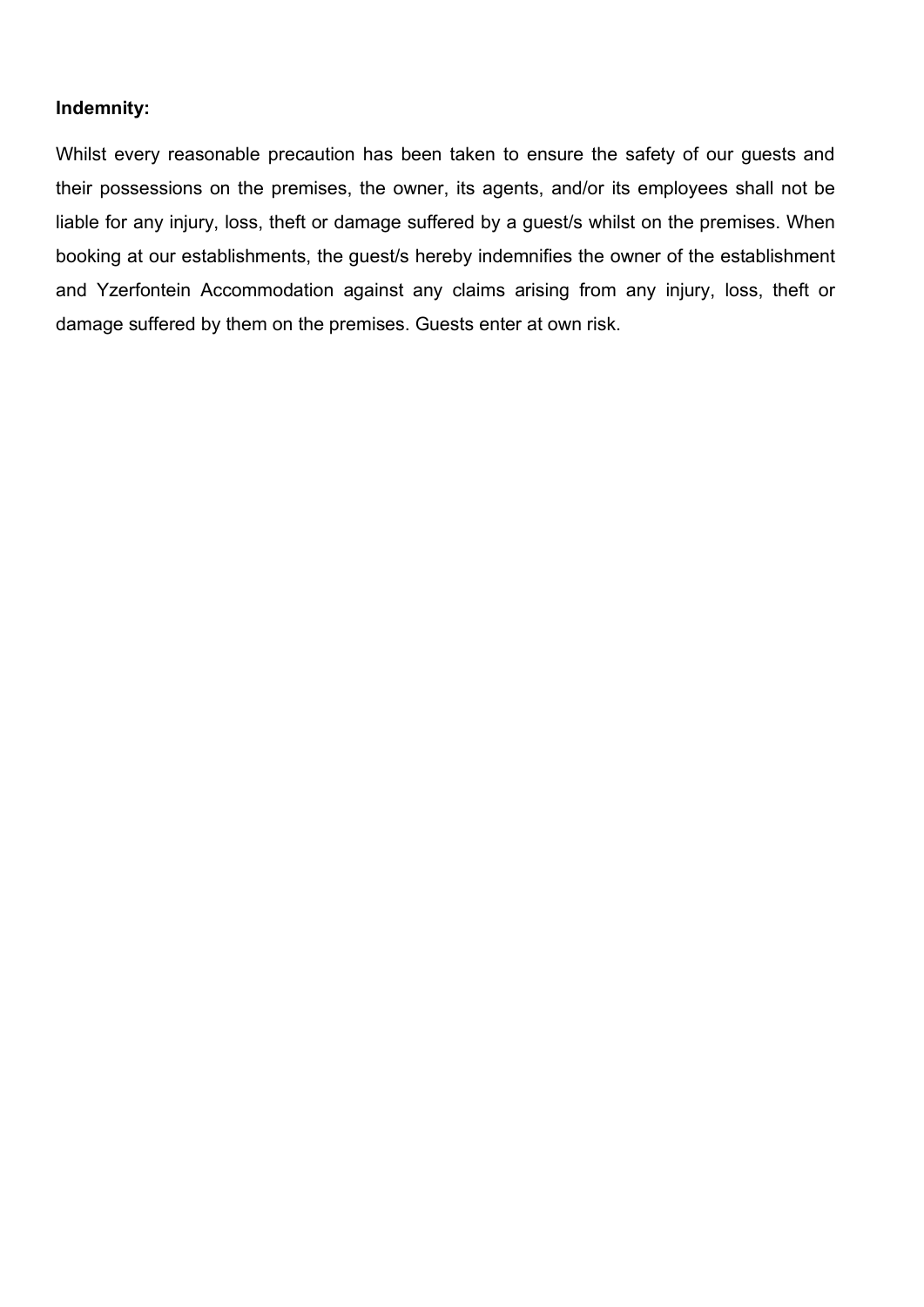#### **Indemnity:**

Whilst every reasonable precaution has been taken to ensure the safety of our guests and their possessions on the premises, the owner, its agents, and/or its employees shall not be liable for any injury, loss, theft or damage suffered by a guest/s whilst on the premises. When booking at our establishments, the guest/s hereby indemnifies the owner of the establishment and Yzerfontein Accommodation against any claims arising from any injury, loss, theft or damage suffered by them on the premises. Guests enter at own risk.